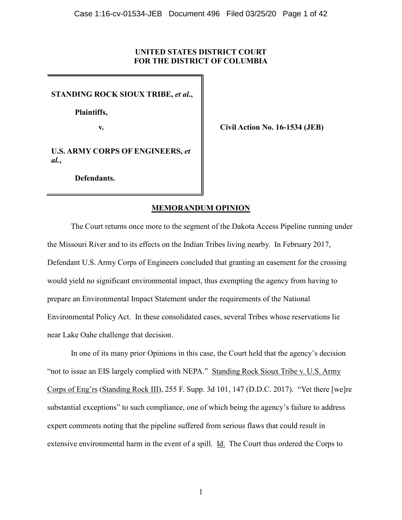# **UNITED STATES DISTRICT COURT FOR THE DISTRICT OF COLUMBIA**

**STANDING ROCK SIOUX TRIBE,** *et al.***,**

 **Plaintiffs,**

**v. Civil Action No. 16-1534 (JEB)**

**U.S. ARMY CORPS OF ENGINEERS,** *et al.***,**

**Defendants.**

# **MEMORANDUM OPINION**

The Court returns once more to the segment of the Dakota Access Pipeline running under the Missouri River and to its effects on the Indian Tribes living nearby. In February 2017, Defendant U.S. Army Corps of Engineers concluded that granting an easement for the crossing would yield no significant environmental impact, thus exempting the agency from having to prepare an Environmental Impact Statement under the requirements of the National Environmental Policy Act. In these consolidated cases, several Tribes whose reservations lie near Lake Oahe challenge that decision.

In one of its many prior Opinions in this case, the Court held that the agency's decision "not to issue an EIS largely complied with NEPA." Standing Rock Sioux Tribe v. U.S. Army Corps of Eng'rs (Standing Rock III), 255 F. Supp. 3d 101, 147 (D.D.C. 2017). "Yet there [we]re substantial exceptions" to such compliance, one of which being the agency's failure to address expert comments noting that the pipeline suffered from serious flaws that could result in extensive environmental harm in the event of a spill. Id. The Court thus ordered the Corps to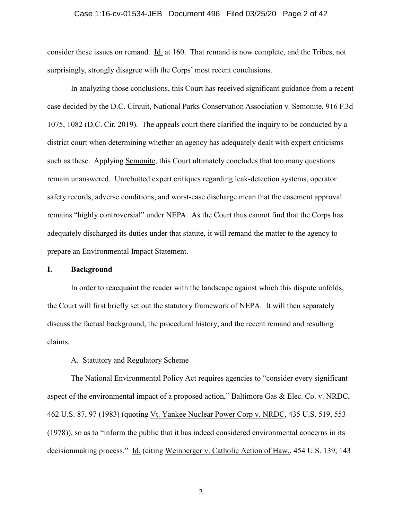#### Case 1:16-cv-01534-JEB Document 496 Filed 03/25/20 Page 2 of 42

consider these issues on remand. Id. at 160. That remand is now complete, and the Tribes, not surprisingly, strongly disagree with the Corps' most recent conclusions.

In analyzing those conclusions, this Court has received significant guidance from a recent case decided by the D.C. Circuit, National Parks Conservation Association v. Semonite, 916 F.3d 1075, 1082 (D.C. Cir. 2019). The appeals court there clarified the inquiry to be conducted by a district court when determining whether an agency has adequately dealt with expert criticisms such as these. Applying Semonite, this Court ultimately concludes that too many questions remain unanswered. Unrebutted expert critiques regarding leak-detection systems, operator safety records, adverse conditions, and worst-case discharge mean that the easement approval remains "highly controversial" under NEPA. As the Court thus cannot find that the Corps has adequately discharged its duties under that statute, it will remand the matter to the agency to prepare an Environmental Impact Statement.

# **I. Background**

In order to reacquaint the reader with the landscape against which this dispute unfolds, the Court will first briefly set out the statutory framework of NEPA. It will then separately discuss the factual background, the procedural history, and the recent remand and resulting claims.

# A. Statutory and Regulatory Scheme

The National Environmental Policy Act requires agencies to "consider every significant aspect of the environmental impact of a proposed action," Baltimore Gas & Elec. Co. v. NRDC, 462 U.S. 87, 97 (1983) (quoting Vt. Yankee Nuclear Power Corp v. NRDC, 435 U.S. 519, 553 (1978)), so as to "inform the public that it has indeed considered environmental concerns in its decisionmaking process." Id. (citing Weinberger v. Catholic Action of Haw., 454 U.S. 139, 143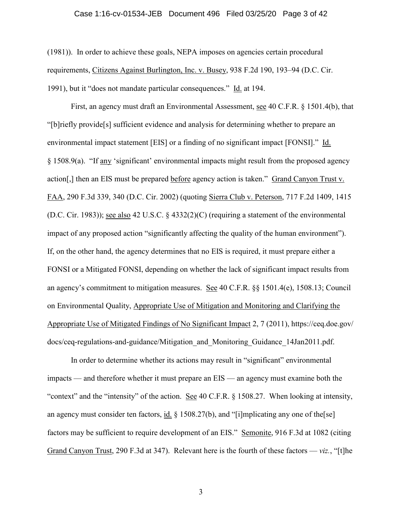#### Case 1:16-cv-01534-JEB Document 496 Filed 03/25/20 Page 3 of 42

(1981)). In order to achieve these goals, NEPA imposes on agencies certain procedural requirements, Citizens Against Burlington, Inc. v. Busey, 938 F.2d 190, 193–94 (D.C. Cir. 1991), but it "does not mandate particular consequences." Id. at 194.

First, an agency must draft an Environmental Assessment, see 40 C.F.R. § 1501.4(b), that "[b]riefly provide[s] sufficient evidence and analysis for determining whether to prepare an environmental impact statement [EIS] or a finding of no significant impact [FONSI]." Id. § 1508.9(a). "If any 'significant' environmental impacts might result from the proposed agency action[,] then an EIS must be prepared before agency action is taken." Grand Canyon Trust v. FAA, 290 F.3d 339, 340 (D.C. Cir. 2002) (quoting Sierra Club v. Peterson, 717 F.2d 1409, 1415 (D.C. Cir. 1983)); see also 42 U.S.C. § 4332(2)(C) (requiring a statement of the environmental impact of any proposed action "significantly affecting the quality of the human environment"). If, on the other hand, the agency determines that no EIS is required, it must prepare either a FONSI or a Mitigated FONSI, depending on whether the lack of significant impact results from an agency's commitment to mitigation measures. See 40 C.F.R. §§ 1501.4(e), 1508.13; Council on Environmental Quality, Appropriate Use of Mitigation and Monitoring and Clarifying the Appropriate Use of Mitigated Findings of No Significant Impact 2, 7 (2011), https://ceq.doe.gov/ docs/ceq-regulations-and-guidance/Mitigation\_and\_Monitoring\_Guidance\_14Jan2011.pdf.

In order to determine whether its actions may result in "significant" environmental impacts — and therefore whether it must prepare an EIS — an agency must examine both the "context" and the "intensity" of the action. See 40 C.F.R. § 1508.27. When looking at intensity, an agency must consider ten factors, id.  $\S$  1508.27(b), and "[i]mplicating any one of the[se] factors may be sufficient to require development of an EIS." Semonite, 916 F.3d at 1082 (citing Grand Canyon Trust, 290 F.3d at 347). Relevant here is the fourth of these factors — *viz.*, "[t]he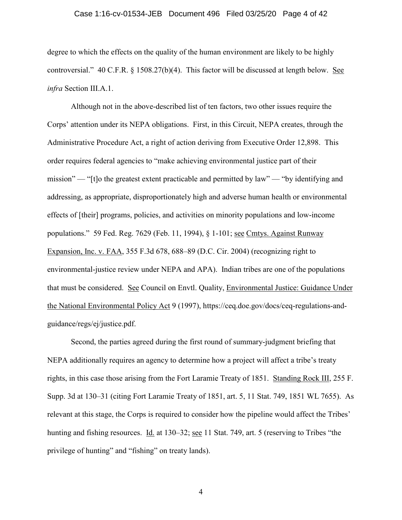#### Case 1:16-cv-01534-JEB Document 496 Filed 03/25/20 Page 4 of 42

degree to which the effects on the quality of the human environment are likely to be highly controversial." 40 C.F.R. § 1508.27(b)(4). This factor will be discussed at length below. See *infra* Section III.A.1.

Although not in the above-described list of ten factors, two other issues require the Corps' attention under its NEPA obligations. First, in this Circuit, NEPA creates, through the Administrative Procedure Act, a right of action deriving from Executive Order 12,898. This order requires federal agencies to "make achieving environmental justice part of their mission" — "[t]o the greatest extent practicable and permitted by law" — "by identifying and addressing, as appropriate, disproportionately high and adverse human health or environmental effects of [their] programs, policies, and activities on minority populations and low-income populations." 59 Fed. Reg. 7629 (Feb. 11, 1994), § 1-101; see Cmtys. Against Runway Expansion, Inc. v. FAA, 355 F.3d 678, 688–89 (D.C. Cir. 2004) (recognizing right to environmental-justice review under NEPA and APA). Indian tribes are one of the populations that must be considered. See Council on Envtl. Quality, Environmental Justice: Guidance Under the National Environmental Policy Act 9 (1997), https://ceq.doe.gov/docs/ceq-regulations-andguidance/regs/ej/justice.pdf.

Second, the parties agreed during the first round of summary-judgment briefing that NEPA additionally requires an agency to determine how a project will affect a tribe's treaty rights, in this case those arising from the Fort Laramie Treaty of 1851. Standing Rock III, 255 F. Supp. 3d at 130–31 (citing Fort Laramie Treaty of 1851, art. 5, 11 Stat. 749, 1851 WL 7655). As relevant at this stage, the Corps is required to consider how the pipeline would affect the Tribes' hunting and fishing resources. Id. at 130–32; see 11 Stat. 749, art. 5 (reserving to Tribes "the privilege of hunting" and "fishing" on treaty lands).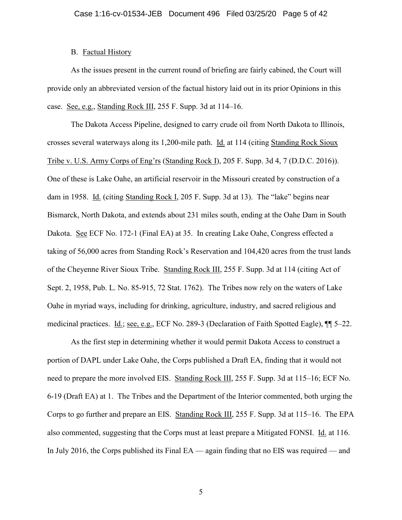## B. Factual History

As the issues present in the current round of briefing are fairly cabined, the Court will provide only an abbreviated version of the factual history laid out in its prior Opinions in this case. See, e.g., Standing Rock III, 255 F. Supp. 3d at 114–16.

The Dakota Access Pipeline, designed to carry crude oil from North Dakota to Illinois, crosses several waterways along its 1,200-mile path. Id. at 114 (citing Standing Rock Sioux Tribe v. U.S. Army Corps of Eng'rs (Standing Rock I), 205 F. Supp. 3d 4, 7 (D.D.C. 2016)). One of these is Lake Oahe, an artificial reservoir in the Missouri created by construction of a dam in 1958. Id. (citing Standing Rock I, 205 F. Supp. 3d at 13). The "lake" begins near Bismarck, North Dakota, and extends about 231 miles south, ending at the Oahe Dam in South Dakota. See ECF No. 172-1 (Final EA) at 35. In creating Lake Oahe, Congress effected a taking of 56,000 acres from Standing Rock's Reservation and 104,420 acres from the trust lands of the Cheyenne River Sioux Tribe. Standing Rock III, 255 F. Supp. 3d at 114 (citing Act of Sept. 2, 1958, Pub. L. No. 85-915, 72 Stat. 1762). The Tribes now rely on the waters of Lake Oahe in myriad ways, including for drinking, agriculture, industry, and sacred religious and medicinal practices. Id.; see, e.g., ECF No. 289-3 (Declaration of Faith Spotted Eagle), ¶¶ 5–22.

As the first step in determining whether it would permit Dakota Access to construct a portion of DAPL under Lake Oahe, the Corps published a Draft EA, finding that it would not need to prepare the more involved EIS. Standing Rock III, 255 F. Supp. 3d at 115–16; ECF No. 6-19 (Draft EA) at 1. The Tribes and the Department of the Interior commented, both urging the Corps to go further and prepare an EIS. Standing Rock III, 255 F. Supp. 3d at 115–16. The EPA also commented, suggesting that the Corps must at least prepare a Mitigated FONSI. Id. at 116. In July 2016, the Corps published its Final EA — again finding that no EIS was required — and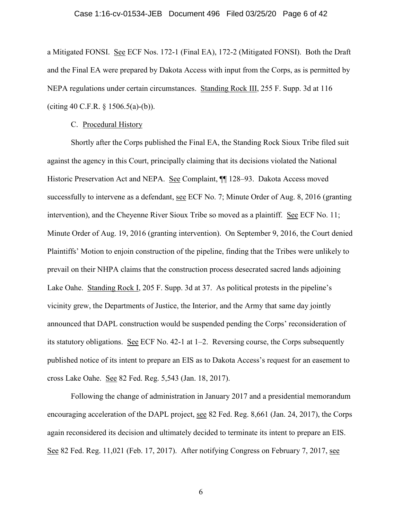#### Case 1:16-cv-01534-JEB Document 496 Filed 03/25/20 Page 6 of 42

a Mitigated FONSI. See ECF Nos. 172-1 (Final EA), 172-2 (Mitigated FONSI). Both the Draft and the Final EA were prepared by Dakota Access with input from the Corps, as is permitted by NEPA regulations under certain circumstances. Standing Rock III, 255 F. Supp. 3d at 116 (citing 40 C.F.R. § 1506.5(a)-(b)).

### C. Procedural History

Shortly after the Corps published the Final EA, the Standing Rock Sioux Tribe filed suit against the agency in this Court, principally claiming that its decisions violated the National Historic Preservation Act and NEPA. See Complaint, ¶ 128–93. Dakota Access moved successfully to intervene as a defendant, see ECF No. 7; Minute Order of Aug. 8, 2016 (granting intervention), and the Cheyenne River Sioux Tribe so moved as a plaintiff. See ECF No. 11; Minute Order of Aug. 19, 2016 (granting intervention). On September 9, 2016, the Court denied Plaintiffs' Motion to enjoin construction of the pipeline, finding that the Tribes were unlikely to prevail on their NHPA claims that the construction process desecrated sacred lands adjoining Lake Oahe. Standing Rock I, 205 F. Supp. 3d at 37. As political protests in the pipeline's vicinity grew, the Departments of Justice, the Interior, and the Army that same day jointly announced that DAPL construction would be suspended pending the Corps' reconsideration of its statutory obligations. See ECF No. 42-1 at 1–2. Reversing course, the Corps subsequently published notice of its intent to prepare an EIS as to Dakota Access's request for an easement to cross Lake Oahe. See 82 Fed. Reg. 5,543 (Jan. 18, 2017).

Following the change of administration in January 2017 and a presidential memorandum encouraging acceleration of the DAPL project, see 82 Fed. Reg. 8,661 (Jan. 24, 2017), the Corps again reconsidered its decision and ultimately decided to terminate its intent to prepare an EIS. See 82 Fed. Reg. 11,021 (Feb. 17, 2017). After notifying Congress on February 7, 2017, see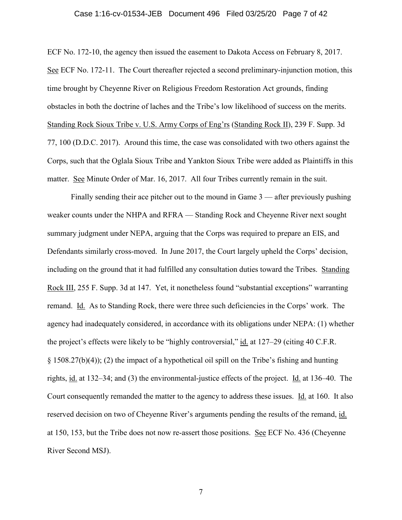### Case 1:16-cv-01534-JEB Document 496 Filed 03/25/20 Page 7 of 42

ECF No. 172-10, the agency then issued the easement to Dakota Access on February 8, 2017. See ECF No. 172-11. The Court thereafter rejected a second preliminary-injunction motion, this time brought by Cheyenne River on Religious Freedom Restoration Act grounds, finding obstacles in both the doctrine of laches and the Tribe's low likelihood of success on the merits. Standing Rock Sioux Tribe v. U.S. Army Corps of Eng'rs (Standing Rock II), 239 F. Supp. 3d 77, 100 (D.D.C. 2017). Around this time, the case was consolidated with two others against the Corps, such that the Oglala Sioux Tribe and Yankton Sioux Tribe were added as Plaintiffs in this matter. See Minute Order of Mar. 16, 2017. All four Tribes currently remain in the suit.

Finally sending their ace pitcher out to the mound in Game 3 — after previously pushing weaker counts under the NHPA and RFRA — Standing Rock and Cheyenne River next sought summary judgment under NEPA, arguing that the Corps was required to prepare an EIS, and Defendants similarly cross-moved. In June 2017, the Court largely upheld the Corps' decision, including on the ground that it had fulfilled any consultation duties toward the Tribes. Standing Rock III, 255 F. Supp. 3d at 147. Yet, it nonetheless found "substantial exceptions" warranting remand. Id. As to Standing Rock, there were three such deficiencies in the Corps' work. The agency had inadequately considered, in accordance with its obligations under NEPA: (1) whether the project's effects were likely to be "highly controversial," id. at 127–29 (citing 40 C.F.R. § 1508.27(b)(4)); (2) the impact of a hypothetical oil spill on the Tribe's fishing and hunting rights, id. at 132–34; and (3) the environmental-justice effects of the project. Id. at 136–40. The Court consequently remanded the matter to the agency to address these issues. Id. at 160. It also reserved decision on two of Cheyenne River's arguments pending the results of the remand, id. at 150, 153, but the Tribe does not now re-assert those positions. See ECF No. 436 (Cheyenne River Second MSJ).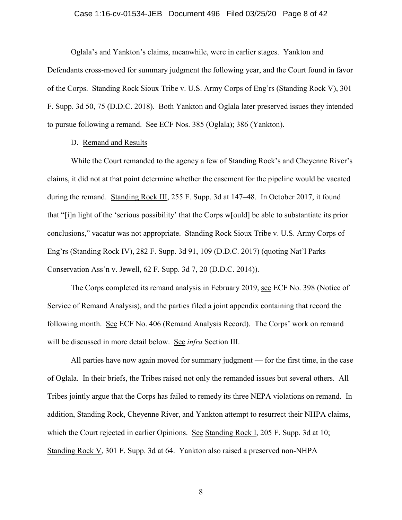### Case 1:16-cv-01534-JEB Document 496 Filed 03/25/20 Page 8 of 42

Oglala's and Yankton's claims, meanwhile, were in earlier stages. Yankton and Defendants cross-moved for summary judgment the following year, and the Court found in favor of the Corps. Standing Rock Sioux Tribe v. U.S. Army Corps of Eng'rs (Standing Rock V), 301 F. Supp. 3d 50, 75 (D.D.C. 2018). Both Yankton and Oglala later preserved issues they intended to pursue following a remand. See ECF Nos. 385 (Oglala); 386 (Yankton).

# D. Remand and Results

While the Court remanded to the agency a few of Standing Rock's and Cheyenne River's claims, it did not at that point determine whether the easement for the pipeline would be vacated during the remand. Standing Rock III, 255 F. Supp. 3d at 147–48. In October 2017, it found that "[i]n light of the 'serious possibility' that the Corps w[ould] be able to substantiate its prior conclusions," vacatur was not appropriate. Standing Rock Sioux Tribe v. U.S. Army Corps of Eng'rs (Standing Rock IV), 282 F. Supp. 3d 91, 109 (D.D.C. 2017) (quoting Nat'l Parks Conservation Ass'n v. Jewell, 62 F. Supp. 3d 7, 20 (D.D.C. 2014)).

The Corps completed its remand analysis in February 2019, see ECF No. 398 (Notice of Service of Remand Analysis), and the parties filed a joint appendix containing that record the following month. See ECF No. 406 (Remand Analysis Record). The Corps' work on remand will be discussed in more detail below. See *infra* Section III.

All parties have now again moved for summary judgment — for the first time, in the case of Oglala. In their briefs, the Tribes raised not only the remanded issues but several others. All Tribes jointly argue that the Corps has failed to remedy its three NEPA violations on remand. In addition, Standing Rock, Cheyenne River, and Yankton attempt to resurrect their NHPA claims, which the Court rejected in earlier Opinions. See Standing Rock I, 205 F. Supp. 3d at 10; Standing Rock V, 301 F. Supp. 3d at 64. Yankton also raised a preserved non-NHPA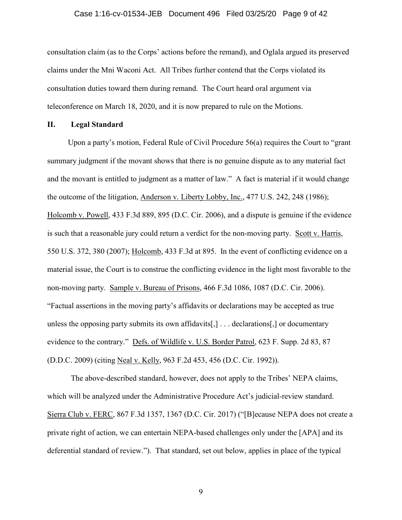#### Case 1:16-cv-01534-JEB Document 496 Filed 03/25/20 Page 9 of 42

consultation claim (as to the Corps' actions before the remand), and Oglala argued its preserved claims under the Mni Waconi Act. All Tribes further contend that the Corps violated its consultation duties toward them during remand. The Court heard oral argument via teleconference on March 18, 2020, and it is now prepared to rule on the Motions.

# **II. Legal Standard**

Upon a party's motion, Federal Rule of Civil Procedure 56(a) requires the Court to "grant summary judgment if the movant shows that there is no genuine dispute as to any material fact and the movant is entitled to judgment as a matter of law." A fact is material if it would change the outcome of the litigation, Anderson v. Liberty Lobby, Inc., 477 U.S. 242, 248 (1986); Holcomb v. Powell, 433 F.3d 889, 895 (D.C. Cir. 2006), and a dispute is genuine if the evidence is such that a reasonable jury could return a verdict for the non-moving party. Scott v. Harris, 550 U.S. 372, 380 (2007); Holcomb, 433 F.3d at 895. In the event of conflicting evidence on a material issue, the Court is to construe the conflicting evidence in the light most favorable to the non-moving party. Sample v. Bureau of Prisons, 466 F.3d 1086, 1087 (D.C. Cir. 2006). "Factual assertions in the moving party's affidavits or declarations may be accepted as true unless the opposing party submits its own affidavits[,] . . . declarations[,] or documentary evidence to the contrary." Defs. of Wildlife v. U.S. Border Patrol, 623 F. Supp. 2d 83, 87 (D.D.C. 2009) (citing Neal v. Kelly, 963 F.2d 453, 456 (D.C. Cir. 1992)).

The above-described standard, however, does not apply to the Tribes' NEPA claims, which will be analyzed under the Administrative Procedure Act's judicial-review standard. Sierra Club v. FERC, 867 F.3d 1357, 1367 (D.C. Cir. 2017) ("[B]ecause NEPA does not create a private right of action, we can entertain NEPA-based challenges only under the [APA] and its deferential standard of review."). That standard, set out below, applies in place of the typical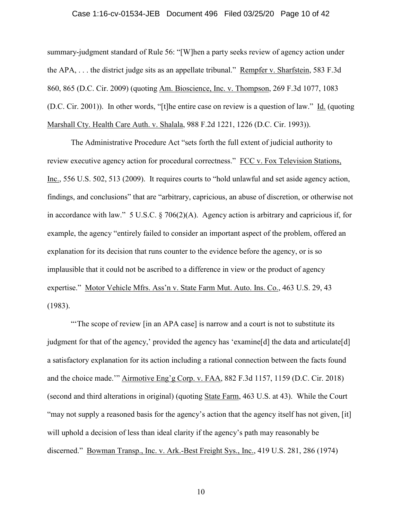#### Case 1:16-cv-01534-JEB Document 496 Filed 03/25/20 Page 10 of 42

summary-judgment standard of Rule 56: "[W]hen a party seeks review of agency action under the APA, . . . the district judge sits as an appellate tribunal." Rempfer v. Sharfstein, 583 F.3d 860, 865 (D.C. Cir. 2009) (quoting Am. Bioscience, Inc. v. Thompson, 269 F.3d 1077, 1083 (D.C. Cir. 2001)). In other words, "[t]he entire case on review is a question of law." Id. (quoting Marshall Cty. Health Care Auth. v. Shalala, 988 F.2d 1221, 1226 (D.C. Cir. 1993)).

The Administrative Procedure Act "sets forth the full extent of judicial authority to review executive agency action for procedural correctness." FCC v. Fox Television Stations, Inc., 556 U.S. 502, 513 (2009). It requires courts to "hold unlawful and set aside agency action, findings, and conclusions" that are "arbitrary, capricious, an abuse of discretion, or otherwise not in accordance with law." 5 U.S.C. § 706(2)(A). Agency action is arbitrary and capricious if, for example, the agency "entirely failed to consider an important aspect of the problem, offered an explanation for its decision that runs counter to the evidence before the agency, or is so implausible that it could not be ascribed to a difference in view or the product of agency expertise." Motor Vehicle Mfrs. Ass'n v. State Farm Mut. Auto. Ins. Co., 463 U.S. 29, 43 (1983).

"'The scope of review [in an APA case] is narrow and a court is not to substitute its judgment for that of the agency,' provided the agency has 'examine[d] the data and articulate[d] a satisfactory explanation for its action including a rational connection between the facts found and the choice made.'" Airmotive Eng'g Corp. v. FAA, 882 F.3d 1157, 1159 (D.C. Cir. 2018) (second and third alterations in original) (quoting State Farm, 463 U.S. at 43). While the Court "may not supply a reasoned basis for the agency's action that the agency itself has not given, [it] will uphold a decision of less than ideal clarity if the agency's path may reasonably be discerned." Bowman Transp., Inc. v. Ark.-Best Freight Sys., Inc., 419 U.S. 281, 286 (1974)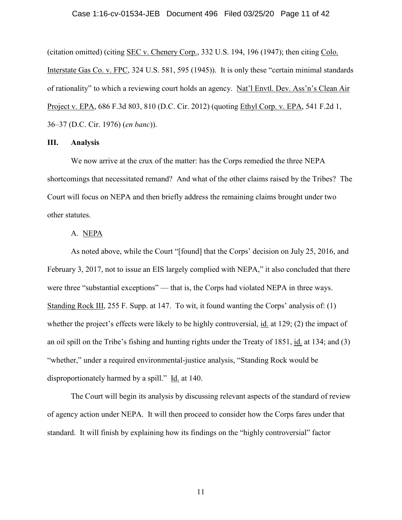### Case 1:16-cv-01534-JEB Document 496 Filed 03/25/20 Page 11 of 42

(citation omitted) (citing SEC v. Chenery Corp., 332 U.S. 194, 196 (1947); then citing Colo. Interstate Gas Co. v. FPC, 324 U.S. 581, 595 (1945)). It is only these "certain minimal standards of rationality" to which a reviewing court holds an agency. Nat'l Envtl. Dev. Ass'n's Clean Air Project v. EPA, 686 F.3d 803, 810 (D.C. Cir. 2012) (quoting Ethyl Corp. v. EPA, 541 F.2d 1, 36–37 (D.C. Cir. 1976) (*en banc*)).

# **III. Analysis**

We now arrive at the crux of the matter: has the Corps remedied the three NEPA shortcomings that necessitated remand? And what of the other claims raised by the Tribes? The Court will focus on NEPA and then briefly address the remaining claims brought under two other statutes.

# A. NEPA

As noted above, while the Court "[found] that the Corps' decision on July 25, 2016, and February 3, 2017, not to issue an EIS largely complied with NEPA," it also concluded that there were three "substantial exceptions" — that is, the Corps had violated NEPA in three ways. Standing Rock III, 255 F. Supp. at 147. To wit, it found wanting the Corps' analysis of: (1) whether the project's effects were likely to be highly controversial, id. at 129; (2) the impact of an oil spill on the Tribe's fishing and hunting rights under the Treaty of 1851, id. at 134; and (3) "whether," under a required environmental-justice analysis, "Standing Rock would be disproportionately harmed by a spill." Id. at 140.

The Court will begin its analysis by discussing relevant aspects of the standard of review of agency action under NEPA. It will then proceed to consider how the Corps fares under that standard. It will finish by explaining how its findings on the "highly controversial" factor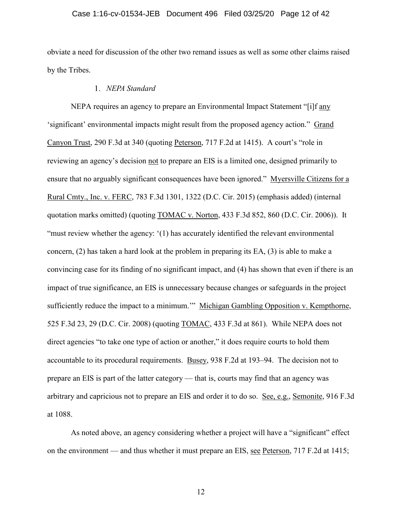### Case 1:16-cv-01534-JEB Document 496 Filed 03/25/20 Page 12 of 42

obviate a need for discussion of the other two remand issues as well as some other claims raised by the Tribes.

# *NEPA Standard*

NEPA requires an agency to prepare an Environmental Impact Statement "[i]f any 'significant' environmental impacts might result from the proposed agency action." Grand Canyon Trust, 290 F.3d at 340 (quoting Peterson, 717 F.2d at 1415). A court's "role in reviewing an agency's decision not to prepare an EIS is a limited one, designed primarily to ensure that no arguably significant consequences have been ignored." Myersville Citizens for a Rural Cmty., Inc. v. FERC, 783 F.3d 1301, 1322 (D.C. Cir. 2015) (emphasis added) (internal quotation marks omitted) (quoting TOMAC v. Norton, 433 F.3d 852, 860 (D.C. Cir. 2006)). It "must review whether the agency: '(1) has accurately identified the relevant environmental concern, (2) has taken a hard look at the problem in preparing its EA, (3) is able to make a convincing case for its finding of no significant impact, and (4) has shown that even if there is an impact of true significance, an EIS is unnecessary because changes or safeguards in the project sufficiently reduce the impact to a minimum."" Michigan Gambling Opposition v. Kempthorne, 525 F.3d 23, 29 (D.C. Cir. 2008) (quoting TOMAC, 433 F.3d at 861). While NEPA does not direct agencies "to take one type of action or another," it does require courts to hold them accountable to its procedural requirements. Busey, 938 F.2d at 193–94. The decision not to prepare an EIS is part of the latter category — that is, courts may find that an agency was arbitrary and capricious not to prepare an EIS and order it to do so. See, e.g., Semonite, 916 F.3d at 1088.

As noted above, an agency considering whether a project will have a "significant" effect on the environment — and thus whether it must prepare an EIS, see Peterson, 717 F.2d at 1415;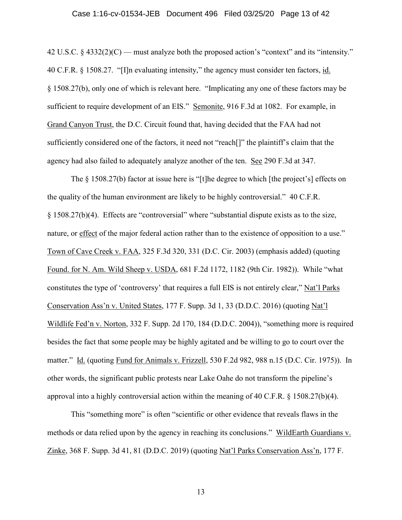#### Case 1:16-cv-01534-JEB Document 496 Filed 03/25/20 Page 13 of 42

42 U.S.C.  $\S$  4332(2)(C) — must analyze both the proposed action's "context" and its "intensity." 40 C.F.R. § 1508.27. "[I]n evaluating intensity," the agency must consider ten factors, id. § 1508.27(b), only one of which is relevant here. "Implicating any one of these factors may be sufficient to require development of an EIS." Semonite, 916 F.3d at 1082. For example, in Grand Canyon Trust, the D.C. Circuit found that, having decided that the FAA had not sufficiently considered one of the factors, it need not "reach[]" the plaintiff's claim that the agency had also failed to adequately analyze another of the ten. See 290 F.3d at 347.

The § 1508.27(b) factor at issue here is "[t]he degree to which [the project's] effects on the quality of the human environment are likely to be highly controversial." 40 C.F.R. § 1508.27(b)(4). Effects are "controversial" where "substantial dispute exists as to the size, nature, or effect of the major federal action rather than to the existence of opposition to a use." Town of Cave Creek v. FAA, 325 F.3d 320, 331 (D.C. Cir. 2003) (emphasis added) (quoting Found. for N. Am. Wild Sheep v. USDA, 681 F.2d 1172, 1182 (9th Cir. 1982)). While "what constitutes the type of 'controversy' that requires a full EIS is not entirely clear," Nat'l Parks Conservation Ass'n v. United States, 177 F. Supp. 3d 1, 33 (D.D.C. 2016) (quoting Nat'l Wildlife Fed'n v. Norton, 332 F. Supp. 2d 170, 184 (D.D.C. 2004)), "something more is required besides the fact that some people may be highly agitated and be willing to go to court over the matter." Id. (quoting Fund for Animals v. Frizzell, 530 F.2d 982, 988 n.15 (D.C. Cir. 1975)). In other words, the significant public protests near Lake Oahe do not transform the pipeline's approval into a highly controversial action within the meaning of 40 C.F.R. § 1508.27(b)(4).

This "something more" is often "scientific or other evidence that reveals flaws in the methods or data relied upon by the agency in reaching its conclusions." WildEarth Guardians v. Zinke, 368 F. Supp. 3d 41, 81 (D.D.C. 2019) (quoting Nat'l Parks Conservation Ass'n, 177 F.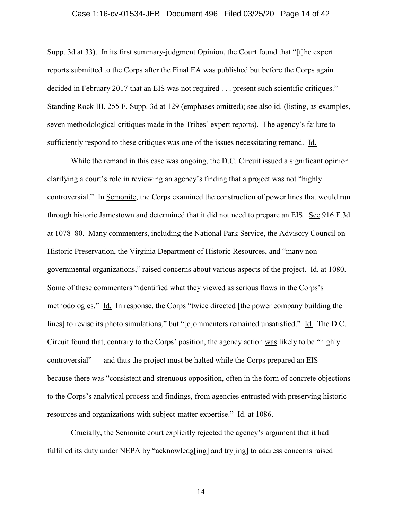#### Case 1:16-cv-01534-JEB Document 496 Filed 03/25/20 Page 14 of 42

Supp. 3d at 33). In its first summary-judgment Opinion, the Court found that "[t]he expert reports submitted to the Corps after the Final EA was published but before the Corps again decided in February 2017 that an EIS was not required . . . present such scientific critiques." Standing Rock III, 255 F. Supp. 3d at 129 (emphases omitted); see also id. (listing, as examples, seven methodological critiques made in the Tribes' expert reports). The agency's failure to sufficiently respond to these critiques was one of the issues necessitating remand. Id.

While the remand in this case was ongoing, the D.C. Circuit issued a significant opinion clarifying a court's role in reviewing an agency's finding that a project was not "highly controversial." In Semonite, the Corps examined the construction of power lines that would run through historic Jamestown and determined that it did not need to prepare an EIS. See 916 F.3d at 1078–80. Many commenters, including the National Park Service, the Advisory Council on Historic Preservation, the Virginia Department of Historic Resources, and "many nongovernmental organizations," raised concerns about various aspects of the project. Id. at 1080. Some of these commenters "identified what they viewed as serious flaws in the Corps's methodologies." Id. In response, the Corps "twice directed [the power company building the lines] to revise its photo simulations," but "[c]ommenters remained unsatisfied." Id. The D.C. Circuit found that, contrary to the Corps' position, the agency action was likely to be "highly controversial" — and thus the project must be halted while the Corps prepared an EIS because there was "consistent and strenuous opposition, often in the form of concrete objections to the Corps's analytical process and findings, from agencies entrusted with preserving historic resources and organizations with subject-matter expertise." Id. at 1086.

Crucially, the Semonite court explicitly rejected the agency's argument that it had fulfilled its duty under NEPA by "acknowledg[ing] and try[ing] to address concerns raised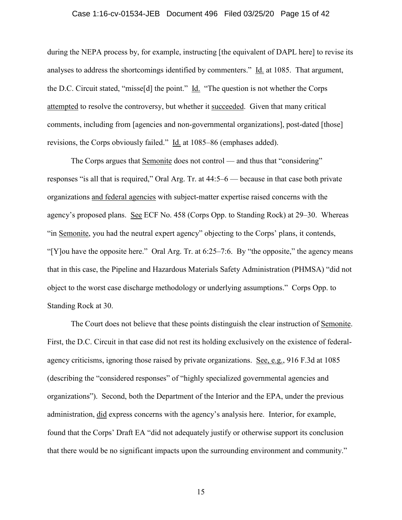#### Case 1:16-cv-01534-JEB Document 496 Filed 03/25/20 Page 15 of 42

during the NEPA process by, for example, instructing [the equivalent of DAPL here] to revise its analyses to address the shortcomings identified by commenters." Id. at 1085. That argument, the D.C. Circuit stated, "misse[d] the point."  $\underline{Id}$ . "The question is not whether the Corps attempted to resolve the controversy, but whether it succeeded. Given that many critical comments, including from [agencies and non-governmental organizations], post-dated [those] revisions, the Corps obviously failed." Id. at 1085–86 (emphases added).

The Corps argues that Semonite does not control — and thus that "considering" responses "is all that is required," Oral Arg. Tr. at 44:5–6 — because in that case both private organizations and federal agencies with subject-matter expertise raised concerns with the agency's proposed plans. See ECF No. 458 (Corps Opp. to Standing Rock) at 29–30. Whereas "in Semonite, you had the neutral expert agency" objecting to the Corps' plans, it contends, "[Y]ou have the opposite here." Oral Arg. Tr. at 6:25–7:6. By "the opposite," the agency means that in this case, the Pipeline and Hazardous Materials Safety Administration (PHMSA) "did not object to the worst case discharge methodology or underlying assumptions." Corps Opp. to Standing Rock at 30.

The Court does not believe that these points distinguish the clear instruction of Semonite. First, the D.C. Circuit in that case did not rest its holding exclusively on the existence of federalagency criticisms, ignoring those raised by private organizations. See, e.g., 916 F.3d at 1085 (describing the "considered responses" of "highly specialized governmental agencies and organizations"). Second, both the Department of the Interior and the EPA, under the previous administration, did express concerns with the agency's analysis here. Interior, for example, found that the Corps' Draft EA "did not adequately justify or otherwise support its conclusion that there would be no significant impacts upon the surrounding environment and community."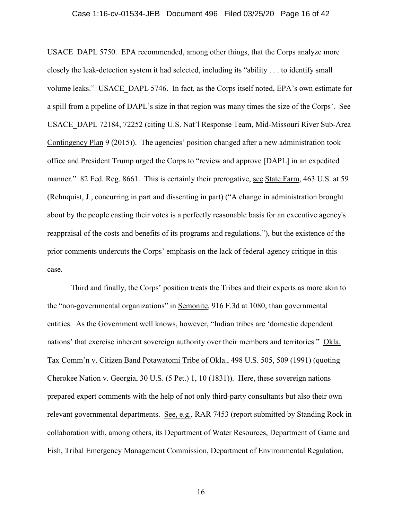USACE\_DAPL 5750. EPA recommended, among other things, that the Corps analyze more closely the leak-detection system it had selected, including its "ability . . . to identify small volume leaks." USACE\_DAPL 5746. In fact, as the Corps itself noted, EPA's own estimate for a spill from a pipeline of DAPL's size in that region was many times the size of the Corps'. See USACE\_DAPL 72184, 72252 (citing U.S. Nat'l Response Team, Mid-Missouri River Sub-Area Contingency Plan 9 (2015)). The agencies' position changed after a new administration took office and President Trump urged the Corps to "review and approve [DAPL] in an expedited manner." 82 Fed. Reg. 8661. This is certainly their prerogative, see State Farm, 463 U.S. at 59 (Rehnquist, J., concurring in part and dissenting in part) ("A change in administration brought about by the people casting their votes is a perfectly reasonable basis for an executive agency's reappraisal of the costs and benefits of its programs and regulations."), but the existence of the prior comments undercuts the Corps' emphasis on the lack of federal-agency critique in this case.

Third and finally, the Corps' position treats the Tribes and their experts as more akin to the "non-governmental organizations" in Semonite, 916 F.3d at 1080, than governmental entities. As the Government well knows, however, "Indian tribes are 'domestic dependent nations' that exercise inherent sovereign authority over their members and territories." Okla. Tax Comm'n v. Citizen Band Potawatomi Tribe of Okla., 498 U.S. 505, 509 (1991) (quoting Cherokee Nation v. Georgia, 30 U.S. (5 Pet.) 1, 10 (1831)). Here, these sovereign nations prepared expert comments with the help of not only third-party consultants but also their own relevant governmental departments. See, e.g., RAR 7453 (report submitted by Standing Rock in collaboration with, among others, its Department of Water Resources, Department of Game and Fish, Tribal Emergency Management Commission, Department of Environmental Regulation,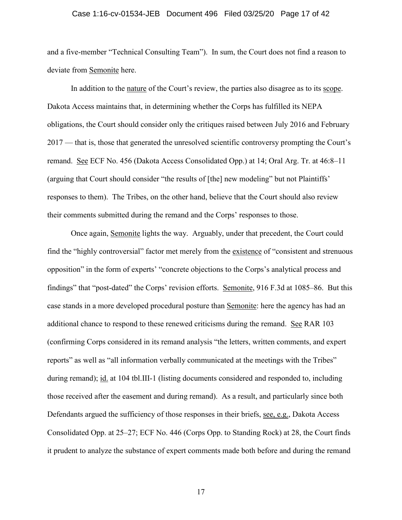#### Case 1:16-cv-01534-JEB Document 496 Filed 03/25/20 Page 17 of 42

and a five-member "Technical Consulting Team"). In sum, the Court does not find a reason to deviate from Semonite here.

In addition to the nature of the Court's review, the parties also disagree as to its scope. Dakota Access maintains that, in determining whether the Corps has fulfilled its NEPA obligations, the Court should consider only the critiques raised between July 2016 and February 2017 — that is, those that generated the unresolved scientific controversy prompting the Court's remand. See ECF No. 456 (Dakota Access Consolidated Opp.) at 14; Oral Arg. Tr. at 46:8–11 (arguing that Court should consider "the results of [the] new modeling" but not Plaintiffs' responses to them). The Tribes, on the other hand, believe that the Court should also review their comments submitted during the remand and the Corps' responses to those.

Once again, Semonite lights the way. Arguably, under that precedent, the Court could find the "highly controversial" factor met merely from the existence of "consistent and strenuous opposition" in the form of experts' "concrete objections to the Corps's analytical process and findings" that "post-dated" the Corps' revision efforts. Semonite, 916 F.3d at 1085–86. But this case stands in a more developed procedural posture than Semonite: here the agency has had an additional chance to respond to these renewed criticisms during the remand. See RAR 103 (confirming Corps considered in its remand analysis "the letters, written comments, and expert reports" as well as "all information verbally communicated at the meetings with the Tribes" during remand); id. at 104 tbl.III-1 (listing documents considered and responded to, including those received after the easement and during remand). As a result, and particularly since both Defendants argued the sufficiency of those responses in their briefs, see, e.g., Dakota Access Consolidated Opp. at 25–27; ECF No. 446 (Corps Opp. to Standing Rock) at 28, the Court finds it prudent to analyze the substance of expert comments made both before and during the remand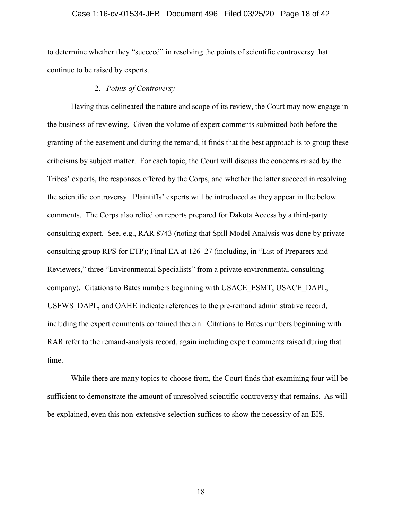### Case 1:16-cv-01534-JEB Document 496 Filed 03/25/20 Page 18 of 42

to determine whether they "succeed" in resolving the points of scientific controversy that continue to be raised by experts.

# *Points of Controversy*

Having thus delineated the nature and scope of its review, the Court may now engage in the business of reviewing. Given the volume of expert comments submitted both before the granting of the easement and during the remand, it finds that the best approach is to group these criticisms by subject matter. For each topic, the Court will discuss the concerns raised by the Tribes' experts, the responses offered by the Corps, and whether the latter succeed in resolving the scientific controversy. Plaintiffs' experts will be introduced as they appear in the below comments. The Corps also relied on reports prepared for Dakota Access by a third-party consulting expert. See, e.g., RAR 8743 (noting that Spill Model Analysis was done by private consulting group RPS for ETP); Final EA at 126–27 (including, in "List of Preparers and Reviewers," three "Environmental Specialists" from a private environmental consulting company). Citations to Bates numbers beginning with USACE\_ESMT, USACE\_DAPL, USFWS DAPL, and OAHE indicate references to the pre-remand administrative record, including the expert comments contained therein. Citations to Bates numbers beginning with RAR refer to the remand-analysis record, again including expert comments raised during that time.

While there are many topics to choose from, the Court finds that examining four will be sufficient to demonstrate the amount of unresolved scientific controversy that remains. As will be explained, even this non-extensive selection suffices to show the necessity of an EIS.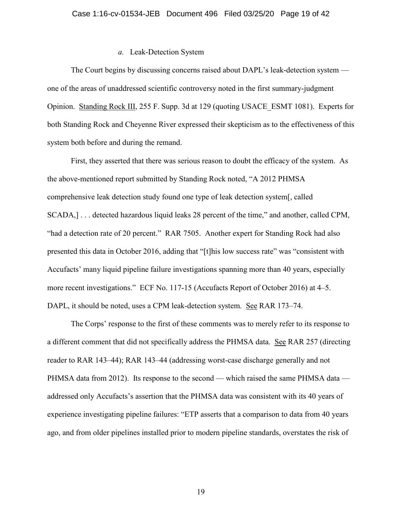# *a.* Leak-Detection System

The Court begins by discussing concerns raised about DAPL's leak-detection system one of the areas of unaddressed scientific controversy noted in the first summary-judgment Opinion. Standing Rock III, 255 F. Supp. 3d at 129 (quoting USACE\_ESMT 1081). Experts for both Standing Rock and Cheyenne River expressed their skepticism as to the effectiveness of this system both before and during the remand.

First, they asserted that there was serious reason to doubt the efficacy of the system. As the above-mentioned report submitted by Standing Rock noted, "A 2012 PHMSA comprehensive leak detection study found one type of leak detection system[, called SCADA,] . . . detected hazardous liquid leaks 28 percent of the time," and another, called CPM, "had a detection rate of 20 percent." RAR 7505. Another expert for Standing Rock had also presented this data in October 2016, adding that "[t]his low success rate" was "consistent with Accufacts' many liquid pipeline failure investigations spanning more than 40 years, especially more recent investigations." ECF No. 117-15 (Accufacts Report of October 2016) at 4–5. DAPL, it should be noted, uses a CPM leak-detection system. See RAR 173–74.

The Corps' response to the first of these comments was to merely refer to its response to a different comment that did not specifically address the PHMSA data. See RAR 257 (directing reader to RAR 143–44); RAR 143–44 (addressing worst-case discharge generally and not PHMSA data from 2012). Its response to the second — which raised the same PHMSA data addressed only Accufacts's assertion that the PHMSA data was consistent with its 40 years of experience investigating pipeline failures: "ETP asserts that a comparison to data from 40 years ago, and from older pipelines installed prior to modern pipeline standards, overstates the risk of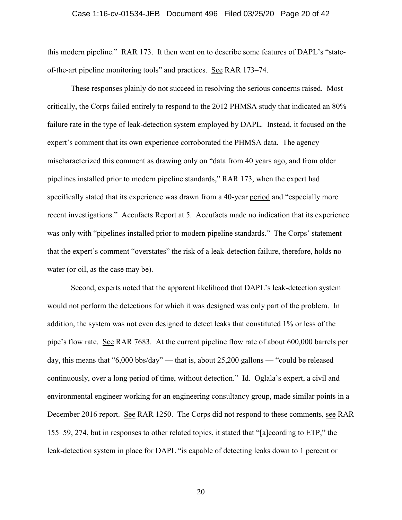#### Case 1:16-cv-01534-JEB Document 496 Filed 03/25/20 Page 20 of 42

this modern pipeline." RAR 173. It then went on to describe some features of DAPL's "stateof-the-art pipeline monitoring tools" and practices. See RAR 173–74.

These responses plainly do not succeed in resolving the serious concerns raised. Most critically, the Corps failed entirely to respond to the 2012 PHMSA study that indicated an 80% failure rate in the type of leak-detection system employed by DAPL. Instead, it focused on the expert's comment that its own experience corroborated the PHMSA data. The agency mischaracterized this comment as drawing only on "data from 40 years ago, and from older pipelines installed prior to modern pipeline standards," RAR 173, when the expert had specifically stated that its experience was drawn from a 40-year period and "especially more recent investigations." Accufacts Report at 5. Accufacts made no indication that its experience was only with "pipelines installed prior to modern pipeline standards." The Corps' statement that the expert's comment "overstates" the risk of a leak-detection failure, therefore, holds no water (or oil, as the case may be).

Second, experts noted that the apparent likelihood that DAPL's leak-detection system would not perform the detections for which it was designed was only part of the problem. In addition, the system was not even designed to detect leaks that constituted 1% or less of the pipe's flow rate. See RAR 7683. At the current pipeline flow rate of about 600,000 barrels per day, this means that "6,000 bbs/day" — that is, about 25,200 gallons — "could be released continuously, over a long period of time, without detection." Id. Oglala's expert, a civil and environmental engineer working for an engineering consultancy group, made similar points in a December 2016 report. See RAR 1250. The Corps did not respond to these comments, see RAR 155–59, 274, but in responses to other related topics, it stated that "[a]ccording to ETP," the leak-detection system in place for DAPL "is capable of detecting leaks down to 1 percent or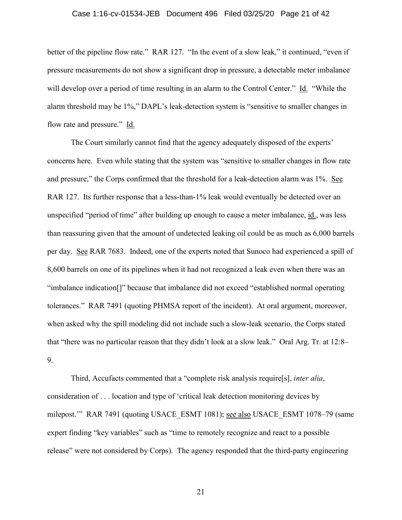#### Case 1:16-cv-01534-JEB Document 496 Filed 03/25/20 Page 21 of 42

better of the pipeline flow rate." RAR 127. "In the event of a slow leak," it continued, "even if pressure measurements do not show a significant drop in pressure, a detectable meter imbalance will develop over a period of time resulting in an alarm to the Control Center." Id. "While the alarm threshold may be 1%," DAPL's leak-detection system is "sensitive to smaller changes in flow rate and pressure." Id.

The Court similarly cannot find that the agency adequately disposed of the experts' concerns here. Even while stating that the system was "sensitive to smaller changes in flow rate and pressure," the Corps confirmed that the threshold for a leak-detection alarm was 1%. See RAR 127. Its further response that a less-than-1% leak would eventually be detected over an unspecified "period of time" after building up enough to cause a meter imbalance, id., was less than reassuring given that the amount of undetected leaking oil could be as much as 6,000 barrels per day. See RAR 7683. Indeed, one of the experts noted that Sunoco had experienced a spill of 8,600 barrels on one of its pipelines when it had not recognized a leak even when there was an "imbalance indication[]" because that imbalance did not exceed "established normal operating tolerances." RAR 7491 (quoting PHMSA report of the incident). At oral argument, moreover, when asked why the spill modeling did not include such a slow-leak scenario, the Corps stated that "there was no particular reason that they didn't look at a slow leak." Oral Arg. Tr. at 12:8– 9.

Third, Accufacts commented that a "complete risk analysis require[s], *inter alia*, consideration of . . . location and type of 'critical leak detection monitoring devices by milepost." RAR 7491 (quoting USACE\_ESMT 1081); <u>see also</u> USACE\_ESMT 1078–79 (same expert finding "key variables" such as "time to remotely recognize and react to a possible release" were not considered by Corps). The agency responded that the third-party engineering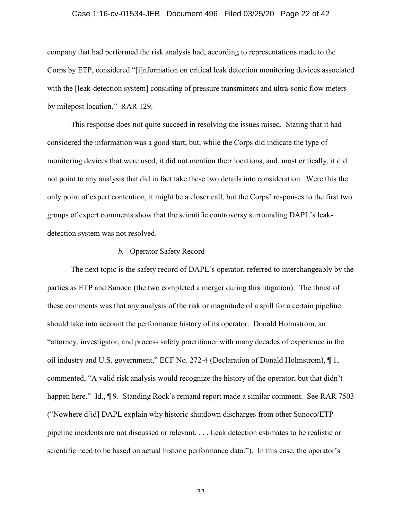### Case 1:16-cv-01534-JEB Document 496 Filed 03/25/20 Page 22 of 42

company that had performed the risk analysis had, according to representations made to the Corps by ETP, considered "[i]nformation on critical leak detection monitoring devices associated with the [leak-detection system] consisting of pressure transmitters and ultra-sonic flow meters by milepost location." RAR 129.

This response does not quite succeed in resolving the issues raised. Stating that it had considered the information was a good start, but, while the Corps did indicate the type of monitoring devices that were used, it did not mention their locations, and, most critically, it did not point to any analysis that did in fact take these two details into consideration. Were this the only point of expert contention, it might be a closer call, but the Corps' responses to the first two groups of expert comments show that the scientific controversy surrounding DAPL's leakdetection system was not resolved.

# *b.* Operator Safety Record

The next topic is the safety record of DAPL's operator, referred to interchangeably by the parties as ETP and Sunoco (the two completed a merger during this litigation). The thrust of these comments was that any analysis of the risk or magnitude of a spill for a certain pipeline should take into account the performance history of its operator. Donald Holmstrom, an "attorney, investigator, and process safety practitioner with many decades of experience in the oil industry and U.S. government," ECF No. 272-4 (Declaration of Donald Holmstrom), ¶ 1, commented, "A valid risk analysis would recognize the history of the operator, but that didn't happen here." Id., ¶ 9. Standing Rock's remand report made a similar comment. See RAR 7503 ("Nowhere d[id] DAPL explain why historic shutdown discharges from other Sunoco/ETP pipeline incidents are not discussed or relevant. . . . Leak detection estimates to be realistic or scientific need to be based on actual historic performance data."). In this case, the operator's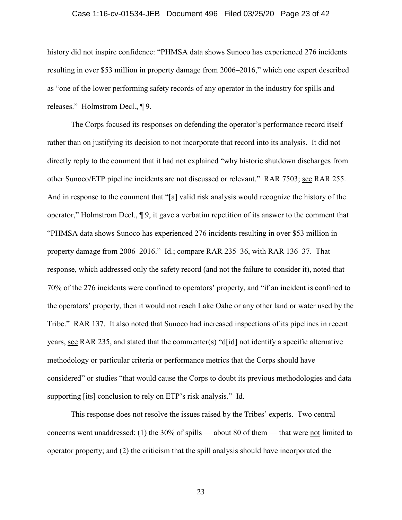### Case 1:16-cv-01534-JEB Document 496 Filed 03/25/20 Page 23 of 42

history did not inspire confidence: "PHMSA data shows Sunoco has experienced 276 incidents resulting in over \$53 million in property damage from 2006–2016," which one expert described as "one of the lower performing safety records of any operator in the industry for spills and releases." Holmstrom Decl., ¶ 9.

The Corps focused its responses on defending the operator's performance record itself rather than on justifying its decision to not incorporate that record into its analysis. It did not directly reply to the comment that it had not explained "why historic shutdown discharges from other Sunoco/ETP pipeline incidents are not discussed or relevant." RAR 7503; see RAR 255. And in response to the comment that "[a] valid risk analysis would recognize the history of the operator," Holmstrom Decl., ¶ 9, it gave a verbatim repetition of its answer to the comment that "PHMSA data shows Sunoco has experienced 276 incidents resulting in over \$53 million in property damage from 2006–2016." Id.; compare RAR 235–36, with RAR 136–37. That response, which addressed only the safety record (and not the failure to consider it), noted that 70% of the 276 incidents were confined to operators' property, and "if an incident is confined to the operators' property, then it would not reach Lake Oahe or any other land or water used by the Tribe." RAR 137. It also noted that Sunoco had increased inspections of its pipelines in recent years, see RAR 235, and stated that the commenter(s) "d[id] not identify a specific alternative methodology or particular criteria or performance metrics that the Corps should have considered" or studies "that would cause the Corps to doubt its previous methodologies and data supporting [its] conclusion to rely on ETP's risk analysis." Id.

This response does not resolve the issues raised by the Tribes' experts. Two central concerns went unaddressed: (1) the 30% of spills — about 80 of them — that were not limited to operator property; and (2) the criticism that the spill analysis should have incorporated the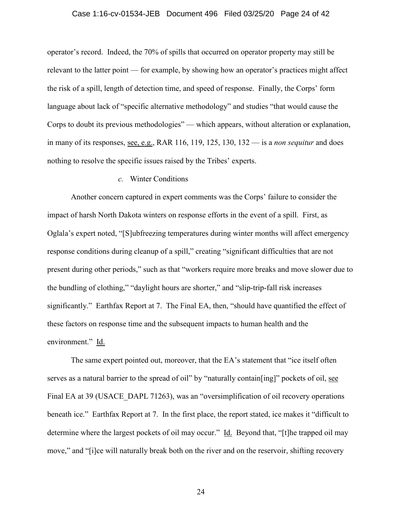### Case 1:16-cv-01534-JEB Document 496 Filed 03/25/20 Page 24 of 42

operator's record. Indeed, the 70% of spills that occurred on operator property may still be relevant to the latter point — for example, by showing how an operator's practices might affect the risk of a spill, length of detection time, and speed of response. Finally, the Corps' form language about lack of "specific alternative methodology" and studies "that would cause the Corps to doubt its previous methodologies" — which appears, without alteration or explanation, in many of its responses, see, e.g., RAR 116, 119, 125, 130, 132 — is a *non sequitur* and does nothing to resolve the specific issues raised by the Tribes' experts.

# *c.* Winter Conditions

Another concern captured in expert comments was the Corps' failure to consider the impact of harsh North Dakota winters on response efforts in the event of a spill. First, as Oglala's expert noted, "[S]ubfreezing temperatures during winter months will affect emergency response conditions during cleanup of a spill," creating "significant difficulties that are not present during other periods," such as that "workers require more breaks and move slower due to the bundling of clothing," "daylight hours are shorter," and "slip-trip-fall risk increases significantly." Earthfax Report at 7. The Final EA, then, "should have quantified the effect of these factors on response time and the subsequent impacts to human health and the environment." Id.

The same expert pointed out, moreover, that the EA's statement that "ice itself often serves as a natural barrier to the spread of oil" by "naturally contain [ing]" pockets of oil, see Final EA at 39 (USACE DAPL 71263), was an "oversimplification of oil recovery operations beneath ice." Earthfax Report at 7. In the first place, the report stated, ice makes it "difficult to determine where the largest pockets of oil may occur." Id. Beyond that, "[t]he trapped oil may move," and "[i]ce will naturally break both on the river and on the reservoir, shifting recovery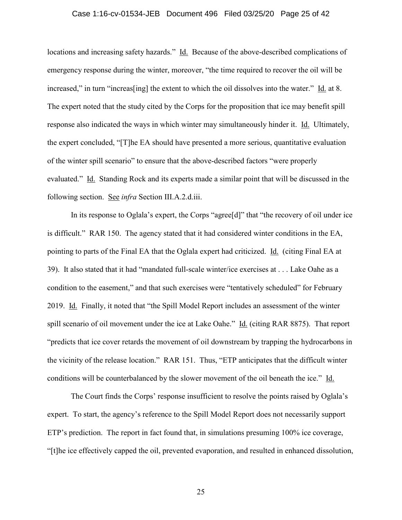### Case 1:16-cv-01534-JEB Document 496 Filed 03/25/20 Page 25 of 42

locations and increasing safety hazards." Id. Because of the above-described complications of emergency response during the winter, moreover, "the time required to recover the oil will be increased," in turn "increas[ing] the extent to which the oil dissolves into the water." Id. at 8. The expert noted that the study cited by the Corps for the proposition that ice may benefit spill response also indicated the ways in which winter may simultaneously hinder it. Id. Ultimately, the expert concluded, "[T]he EA should have presented a more serious, quantitative evaluation of the winter spill scenario" to ensure that the above-described factors "were properly evaluated." Id. Standing Rock and its experts made a similar point that will be discussed in the following section. See *infra* Section III.A.2.d.iii.

In its response to Oglala's expert, the Corps "agree[d]" that "the recovery of oil under ice is difficult." RAR 150. The agency stated that it had considered winter conditions in the EA, pointing to parts of the Final EA that the Oglala expert had criticized. Id. (citing Final EA at 39). It also stated that it had "mandated full-scale winter/ice exercises at . . . Lake Oahe as a condition to the easement," and that such exercises were "tentatively scheduled" for February 2019. Id. Finally, it noted that "the Spill Model Report includes an assessment of the winter spill scenario of oil movement under the ice at Lake Oahe." Id. (citing RAR 8875). That report "predicts that ice cover retards the movement of oil downstream by trapping the hydrocarbons in the vicinity of the release location." RAR 151. Thus, "ETP anticipates that the difficult winter conditions will be counterbalanced by the slower movement of the oil beneath the ice." Id.

The Court finds the Corps' response insufficient to resolve the points raised by Oglala's expert. To start, the agency's reference to the Spill Model Report does not necessarily support ETP's prediction. The report in fact found that, in simulations presuming 100% ice coverage, "[t]he ice effectively capped the oil, prevented evaporation, and resulted in enhanced dissolution,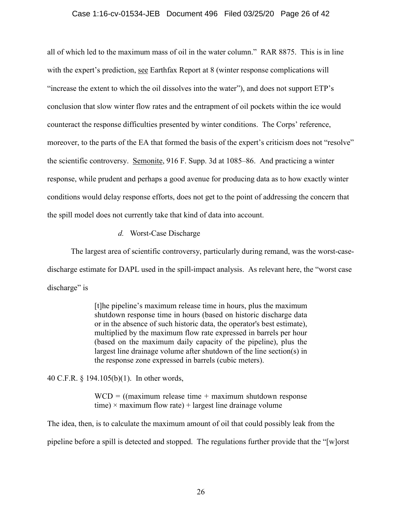### Case 1:16-cv-01534-JEB Document 496 Filed 03/25/20 Page 26 of 42

all of which led to the maximum mass of oil in the water column." RAR 8875. This is in line with the expert's prediction, see Earthfax Report at 8 (winter response complications will "increase the extent to which the oil dissolves into the water"), and does not support ETP's conclusion that slow winter flow rates and the entrapment of oil pockets within the ice would counteract the response difficulties presented by winter conditions. The Corps' reference, moreover, to the parts of the EA that formed the basis of the expert's criticism does not "resolve" the scientific controversy. Semonite, 916 F. Supp. 3d at 1085–86. And practicing a winter response, while prudent and perhaps a good avenue for producing data as to how exactly winter conditions would delay response efforts, does not get to the point of addressing the concern that the spill model does not currently take that kind of data into account.

*d.* Worst-Case Discharge

The largest area of scientific controversy, particularly during remand, was the worst-casedischarge estimate for DAPL used in the spill-impact analysis. As relevant here, the "worst case discharge" is

> [t]he pipeline's maximum release time in hours, plus the maximum shutdown response time in hours (based on historic discharge data or in the absence of such historic data, the operator's best estimate), multiplied by the maximum flow rate expressed in barrels per hour (based on the maximum daily capacity of the pipeline), plus the largest line drainage volume after shutdown of the line section(s) in the response zone expressed in barrels (cubic meters).

40 C.F.R. § 194.105(b)(1). In other words,

 $WCD = ($ (maximum release time + maximum shutdown response time)  $\times$  maximum flow rate) + largest line drainage volume

The idea, then, is to calculate the maximum amount of oil that could possibly leak from the pipeline before a spill is detected and stopped. The regulations further provide that the "[w]orst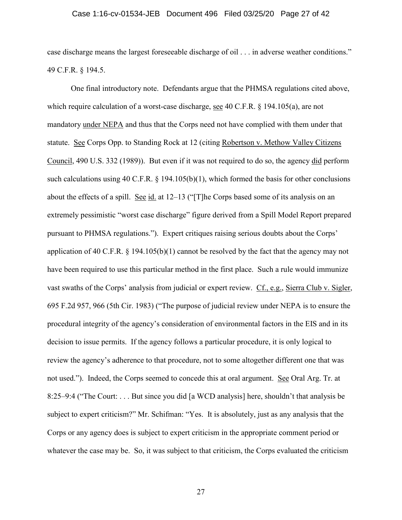### Case 1:16-cv-01534-JEB Document 496 Filed 03/25/20 Page 27 of 42

case discharge means the largest foreseeable discharge of oil . . . in adverse weather conditions." 49 C.F.R. § 194.5.

One final introductory note. Defendants argue that the PHMSA regulations cited above, which require calculation of a worst-case discharge, see 40 C.F.R. § 194.105(a), are not mandatory under NEPA and thus that the Corps need not have complied with them under that statute. See Corps Opp. to Standing Rock at 12 (citing Robertson v. Methow Valley Citizens Council, 490 U.S. 332 (1989)). But even if it was not required to do so, the agency did perform such calculations using 40 C.F.R. § 194.105(b)(1), which formed the basis for other conclusions about the effects of a spill. See id. at 12–13 ("[T]he Corps based some of its analysis on an extremely pessimistic "worst case discharge" figure derived from a Spill Model Report prepared pursuant to PHMSA regulations."). Expert critiques raising serious doubts about the Corps' application of 40 C.F.R. § 194.105(b)(1) cannot be resolved by the fact that the agency may not have been required to use this particular method in the first place. Such a rule would immunize vast swaths of the Corps' analysis from judicial or expert review. Cf., e.g., Sierra Club v. Sigler, 695 F.2d 957, 966 (5th Cir. 1983) ("The purpose of judicial review under NEPA is to ensure the procedural integrity of the agency's consideration of environmental factors in the EIS and in its decision to issue permits. If the agency follows a particular procedure, it is only logical to review the agency's adherence to that procedure, not to some altogether different one that was not used."). Indeed, the Corps seemed to concede this at oral argument. See Oral Arg. Tr. at 8:25–9:4 ("The Court: . . . But since you did [a WCD analysis] here, shouldn't that analysis be subject to expert criticism?" Mr. Schifman: "Yes. It is absolutely, just as any analysis that the Corps or any agency does is subject to expert criticism in the appropriate comment period or whatever the case may be. So, it was subject to that criticism, the Corps evaluated the criticism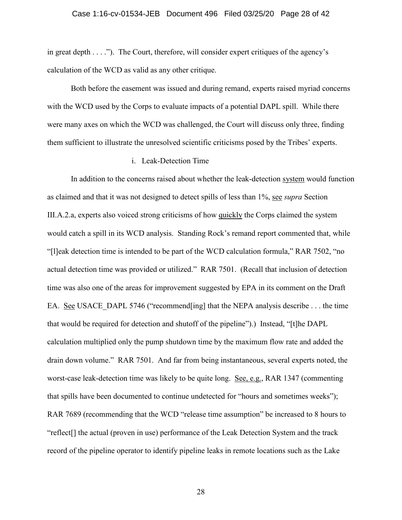in great depth  $\dots$ ."). The Court, therefore, will consider expert critiques of the agency's calculation of the WCD as valid as any other critique.

Both before the easement was issued and during remand, experts raised myriad concerns with the WCD used by the Corps to evaluate impacts of a potential DAPL spill. While there were many axes on which the WCD was challenged, the Court will discuss only three, finding them sufficient to illustrate the unresolved scientific criticisms posed by the Tribes' experts.

## i. Leak-Detection Time

In addition to the concerns raised about whether the leak-detection system would function as claimed and that it was not designed to detect spills of less than 1%, see *supra* Section III.A.2.a, experts also voiced strong criticisms of how quickly the Corps claimed the system would catch a spill in its WCD analysis. Standing Rock's remand report commented that, while "[l]eak detection time is intended to be part of the WCD calculation formula," RAR 7502, "no actual detection time was provided or utilized." RAR 7501. (Recall that inclusion of detection time was also one of the areas for improvement suggested by EPA in its comment on the Draft EA. See USACE DAPL 5746 ("recommend[ing] that the NEPA analysis describe . . . the time that would be required for detection and shutoff of the pipeline").) Instead, "[t]he DAPL calculation multiplied only the pump shutdown time by the maximum flow rate and added the drain down volume." RAR 7501. And far from being instantaneous, several experts noted, the worst-case leak-detection time was likely to be quite long. See, e.g., RAR 1347 (commenting that spills have been documented to continue undetected for "hours and sometimes weeks"); RAR 7689 (recommending that the WCD "release time assumption" be increased to 8 hours to "reflect[] the actual (proven in use) performance of the Leak Detection System and the track record of the pipeline operator to identify pipeline leaks in remote locations such as the Lake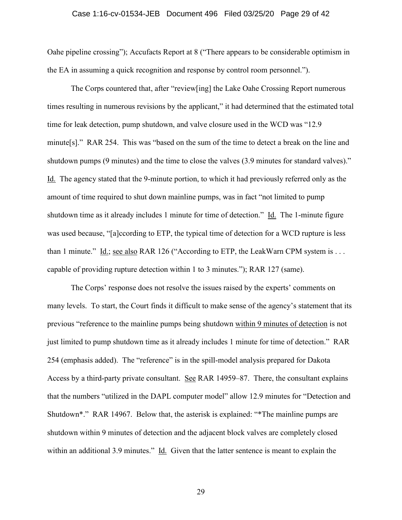#### Case 1:16-cv-01534-JEB Document 496 Filed 03/25/20 Page 29 of 42

Oahe pipeline crossing"); Accufacts Report at 8 ("There appears to be considerable optimism in the EA in assuming a quick recognition and response by control room personnel.").

The Corps countered that, after "review[ing] the Lake Oahe Crossing Report numerous times resulting in numerous revisions by the applicant," it had determined that the estimated total time for leak detection, pump shutdown, and valve closure used in the WCD was "12.9 minute[s]." RAR 254. This was "based on the sum of the time to detect a break on the line and shutdown pumps (9 minutes) and the time to close the valves (3.9 minutes for standard valves)." Id. The agency stated that the 9-minute portion, to which it had previously referred only as the amount of time required to shut down mainline pumps, was in fact "not limited to pump shutdown time as it already includes 1 minute for time of detection." Id. The 1-minute figure was used because, "[a]ccording to ETP, the typical time of detection for a WCD rupture is less than 1 minute." Id.; see also RAR 126 ("According to ETP, the LeakWarn CPM system is . . . capable of providing rupture detection within 1 to 3 minutes."); RAR 127 (same).

The Corps' response does not resolve the issues raised by the experts' comments on many levels. To start, the Court finds it difficult to make sense of the agency's statement that its previous "reference to the mainline pumps being shutdown within 9 minutes of detection is not just limited to pump shutdown time as it already includes 1 minute for time of detection." RAR 254 (emphasis added). The "reference" is in the spill-model analysis prepared for Dakota Access by a third-party private consultant. See RAR 14959–87. There, the consultant explains that the numbers "utilized in the DAPL computer model" allow 12.9 minutes for "Detection and Shutdown\*." RAR 14967. Below that, the asterisk is explained: "\*The mainline pumps are shutdown within 9 minutes of detection and the adjacent block valves are completely closed within an additional 3.9 minutes." Id. Given that the latter sentence is meant to explain the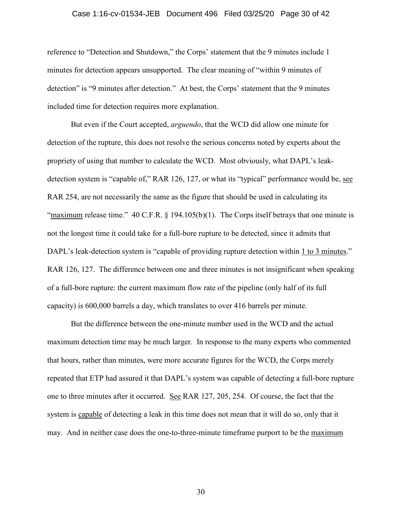#### Case 1:16-cv-01534-JEB Document 496 Filed 03/25/20 Page 30 of 42

reference to "Detection and Shutdown," the Corps' statement that the 9 minutes include 1 minutes for detection appears unsupported. The clear meaning of "within 9 minutes of detection" is "9 minutes after detection." At best, the Corps' statement that the 9 minutes included time for detection requires more explanation.

But even if the Court accepted, *arguendo*, that the WCD did allow one minute for detection of the rupture, this does not resolve the serious concerns noted by experts about the propriety of using that number to calculate the WCD. Most obviously, what DAPL's leakdetection system is "capable of," RAR 126, 127, or what its "typical" performance would be, see RAR 254, are not necessarily the same as the figure that should be used in calculating its "maximum release time." 40 C.F.R.  $\S$  194.105(b)(1). The Corps itself betrays that one minute is not the longest time it could take for a full-bore rupture to be detected, since it admits that DAPL's leak-detection system is "capable of providing rupture detection within 1 to 3 minutes." RAR 126, 127. The difference between one and three minutes is not insignificant when speaking of a full-bore rupture: the current maximum flow rate of the pipeline (only half of its full capacity) is 600,000 barrels a day, which translates to over 416 barrels per minute.

But the difference between the one-minute number used in the WCD and the actual maximum detection time may be much larger. In response to the many experts who commented that hours, rather than minutes, were more accurate figures for the WCD, the Corps merely repeated that ETP had assured it that DAPL's system was capable of detecting a full-bore rupture one to three minutes after it occurred. See RAR 127, 205, 254. Of course, the fact that the system is capable of detecting a leak in this time does not mean that it will do so, only that it may. And in neither case does the one-to-three-minute timeframe purport to be the maximum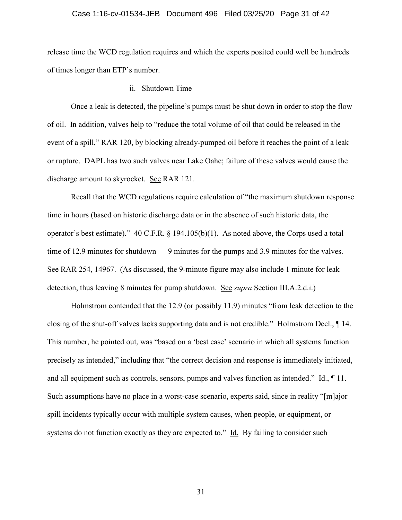### Case 1:16-cv-01534-JEB Document 496 Filed 03/25/20 Page 31 of 42

release time the WCD regulation requires and which the experts posited could well be hundreds of times longer than ETP's number.

ii. Shutdown Time

Once a leak is detected, the pipeline's pumps must be shut down in order to stop the flow of oil. In addition, valves help to "reduce the total volume of oil that could be released in the event of a spill," RAR 120, by blocking already-pumped oil before it reaches the point of a leak or rupture. DAPL has two such valves near Lake Oahe; failure of these valves would cause the discharge amount to skyrocket. See RAR 121.

Recall that the WCD regulations require calculation of "the maximum shutdown response time in hours (based on historic discharge data or in the absence of such historic data, the operator's best estimate)." 40 C.F.R. § 194.105(b)(1). As noted above, the Corps used a total time of 12.9 minutes for shutdown — 9 minutes for the pumps and 3.9 minutes for the valves. See RAR 254, 14967. (As discussed, the 9-minute figure may also include 1 minute for leak detection, thus leaving 8 minutes for pump shutdown. See *supra* Section III.A.2.d.i.)

Holmstrom contended that the 12.9 (or possibly 11.9) minutes "from leak detection to the closing of the shut-off valves lacks supporting data and is not credible." Holmstrom Decl., ¶ 14. This number, he pointed out, was "based on a 'best case' scenario in which all systems function precisely as intended," including that "the correct decision and response is immediately initiated, and all equipment such as controls, sensors, pumps and valves function as intended." Id., ¶ 11. Such assumptions have no place in a worst-case scenario, experts said, since in reality "[m]ajor spill incidents typically occur with multiple system causes, when people, or equipment, or systems do not function exactly as they are expected to." Id. By failing to consider such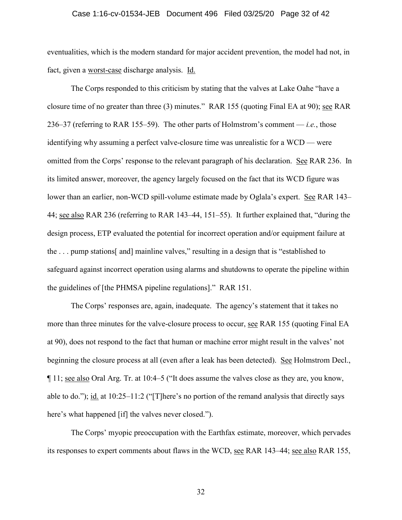#### Case 1:16-cv-01534-JEB Document 496 Filed 03/25/20 Page 32 of 42

eventualities, which is the modern standard for major accident prevention, the model had not, in fact, given a worst-case discharge analysis. Id.

The Corps responded to this criticism by stating that the valves at Lake Oahe "have a closure time of no greater than three (3) minutes." RAR 155 (quoting Final EA at 90); see RAR 236–37 (referring to RAR 155–59). The other parts of Holmstrom's comment — *i.e.*, those identifying why assuming a perfect valve-closure time was unrealistic for a WCD — were omitted from the Corps' response to the relevant paragraph of his declaration. See RAR 236. In its limited answer, moreover, the agency largely focused on the fact that its WCD figure was lower than an earlier, non-WCD spill-volume estimate made by Oglala's expert. See RAR 143– 44; see also RAR 236 (referring to RAR 143–44, 151–55). It further explained that, "during the design process, ETP evaluated the potential for incorrect operation and/or equipment failure at the . . . pump stations[ and] mainline valves," resulting in a design that is "established to safeguard against incorrect operation using alarms and shutdowns to operate the pipeline within the guidelines of [the PHMSA pipeline regulations]." RAR 151.

The Corps' responses are, again, inadequate. The agency's statement that it takes no more than three minutes for the valve-closure process to occur, see RAR 155 (quoting Final EA at 90), does not respond to the fact that human or machine error might result in the valves' not beginning the closure process at all (even after a leak has been detected). See Holmstrom Decl., ¶ 11; see also Oral Arg. Tr. at 10:4–5 ("It does assume the valves close as they are, you know, able to do."); <u>id.</u> at 10:25–11:2 ("[T]here's no portion of the remand analysis that directly says here's what happened [if] the valves never closed.").

The Corps' myopic preoccupation with the Earthfax estimate, moreover, which pervades its responses to expert comments about flaws in the WCD, see RAR 143–44; see also RAR 155,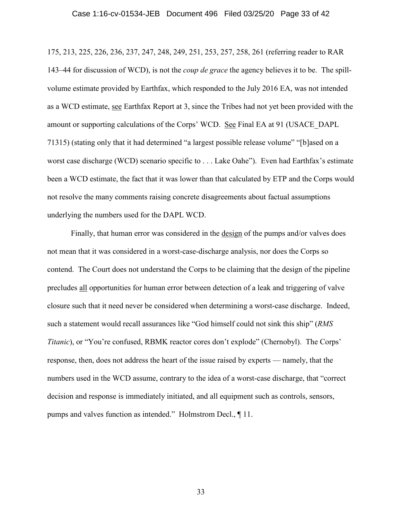175, 213, 225, 226, 236, 237, 247, 248, 249, 251, 253, 257, 258, 261 (referring reader to RAR 143–44 for discussion of WCD), is not the *coup de grace* the agency believes it to be. The spillvolume estimate provided by Earthfax, which responded to the July 2016 EA, was not intended as a WCD estimate, see Earthfax Report at 3, since the Tribes had not yet been provided with the amount or supporting calculations of the Corps' WCD. See Final EA at 91 (USACE\_DAPL 71315) (stating only that it had determined "a largest possible release volume" "[b]ased on a worst case discharge (WCD) scenario specific to . . . Lake Oahe"). Even had Earthfax's estimate been a WCD estimate, the fact that it was lower than that calculated by ETP and the Corps would not resolve the many comments raising concrete disagreements about factual assumptions underlying the numbers used for the DAPL WCD.

Finally, that human error was considered in the design of the pumps and/or valves does not mean that it was considered in a worst-case-discharge analysis, nor does the Corps so contend. The Court does not understand the Corps to be claiming that the design of the pipeline precludes all opportunities for human error between detection of a leak and triggering of valve closure such that it need never be considered when determining a worst-case discharge. Indeed, such a statement would recall assurances like "God himself could not sink this ship" (*RMS Titanic*), or "You're confused, RBMK reactor cores don't explode" (Chernobyl). The Corps' response, then, does not address the heart of the issue raised by experts — namely, that the numbers used in the WCD assume, contrary to the idea of a worst-case discharge, that "correct decision and response is immediately initiated, and all equipment such as controls, sensors, pumps and valves function as intended." Holmstrom Decl., ¶ 11.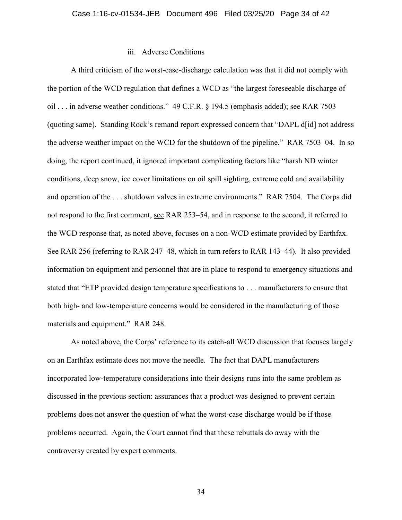## iii. Adverse Conditions

A third criticism of the worst-case-discharge calculation was that it did not comply with the portion of the WCD regulation that defines a WCD as "the largest foreseeable discharge of oil . . . in adverse weather conditions." 49 C.F.R. § 194.5 (emphasis added); see RAR 7503 (quoting same). Standing Rock's remand report expressed concern that "DAPL d[id] not address the adverse weather impact on the WCD for the shutdown of the pipeline." RAR 7503–04. In so doing, the report continued, it ignored important complicating factors like "harsh ND winter conditions, deep snow, ice cover limitations on oil spill sighting, extreme cold and availability and operation of the . . . shutdown valves in extreme environments." RAR 7504. The Corps did not respond to the first comment, see RAR 253–54, and in response to the second, it referred to the WCD response that, as noted above, focuses on a non-WCD estimate provided by Earthfax. See RAR 256 (referring to RAR 247–48, which in turn refers to RAR 143–44). It also provided information on equipment and personnel that are in place to respond to emergency situations and stated that "ETP provided design temperature specifications to . . . manufacturers to ensure that both high- and low-temperature concerns would be considered in the manufacturing of those materials and equipment." RAR 248.

As noted above, the Corps' reference to its catch-all WCD discussion that focuses largely on an Earthfax estimate does not move the needle. The fact that DAPL manufacturers incorporated low-temperature considerations into their designs runs into the same problem as discussed in the previous section: assurances that a product was designed to prevent certain problems does not answer the question of what the worst-case discharge would be if those problems occurred. Again, the Court cannot find that these rebuttals do away with the controversy created by expert comments.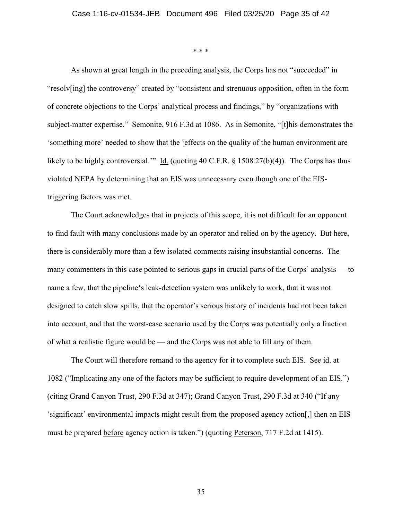\* \* \*

As shown at great length in the preceding analysis, the Corps has not "succeeded" in "resolv[ing] the controversy" created by "consistent and strenuous opposition, often in the form of concrete objections to the Corps' analytical process and findings," by "organizations with subject-matter expertise." Semonite, 916 F.3d at 1086. As in Semonite, "[t]his demonstrates the 'something more' needed to show that the 'effects on the quality of the human environment are likely to be highly controversial." Id. (quoting 40 C.F.R. § 1508.27(b)(4)). The Corps has thus violated NEPA by determining that an EIS was unnecessary even though one of the EIStriggering factors was met.

The Court acknowledges that in projects of this scope, it is not difficult for an opponent to find fault with many conclusions made by an operator and relied on by the agency. But here, there is considerably more than a few isolated comments raising insubstantial concerns. The many commenters in this case pointed to serious gaps in crucial parts of the Corps' analysis — to name a few, that the pipeline's leak-detection system was unlikely to work, that it was not designed to catch slow spills, that the operator's serious history of incidents had not been taken into account, and that the worst-case scenario used by the Corps was potentially only a fraction of what a realistic figure would be — and the Corps was not able to fill any of them.

The Court will therefore remand to the agency for it to complete such EIS. See id. at 1082 ("Implicating any one of the factors may be sufficient to require development of an EIS.") (citing Grand Canyon Trust, 290 F.3d at 347); Grand Canyon Trust, 290 F.3d at 340 ("If any 'significant' environmental impacts might result from the proposed agency action[,] then an EIS must be prepared before agency action is taken.") (quoting Peterson, 717 F.2d at 1415).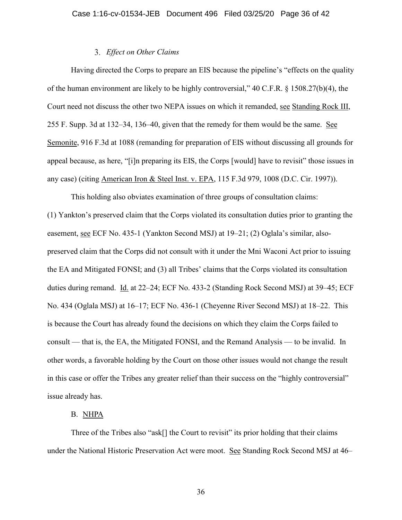# *Effect on Other Claims*

Having directed the Corps to prepare an EIS because the pipeline's "effects on the quality of the human environment are likely to be highly controversial," 40 C.F.R. § 1508.27(b)(4), the Court need not discuss the other two NEPA issues on which it remanded, see Standing Rock III, 255 F. Supp. 3d at 132–34, 136–40, given that the remedy for them would be the same. See Semonite, 916 F.3d at 1088 (remanding for preparation of EIS without discussing all grounds for appeal because, as here, "[i]n preparing its EIS, the Corps [would] have to revisit" those issues in any case) (citing American Iron & Steel Inst. v. EPA, 115 F.3d 979, 1008 (D.C. Cir. 1997)).

This holding also obviates examination of three groups of consultation claims: (1) Yankton's preserved claim that the Corps violated its consultation duties prior to granting the easement, see ECF No. 435-1 (Yankton Second MSJ) at 19–21; (2) Oglala's similar, alsopreserved claim that the Corps did not consult with it under the Mni Waconi Act prior to issuing the EA and Mitigated FONSI; and (3) all Tribes' claims that the Corps violated its consultation duties during remand. Id. at 22–24; ECF No. 433-2 (Standing Rock Second MSJ) at 39–45; ECF No. 434 (Oglala MSJ) at 16–17; ECF No. 436-1 (Cheyenne River Second MSJ) at 18–22. This is because the Court has already found the decisions on which they claim the Corps failed to consult — that is, the EA, the Mitigated FONSI, and the Remand Analysis — to be invalid. In other words, a favorable holding by the Court on those other issues would not change the result in this case or offer the Tribes any greater relief than their success on the "highly controversial" issue already has.

### B. NHPA

Three of the Tribes also "ask[] the Court to revisit" its prior holding that their claims under the National Historic Preservation Act were moot. See Standing Rock Second MSJ at 46–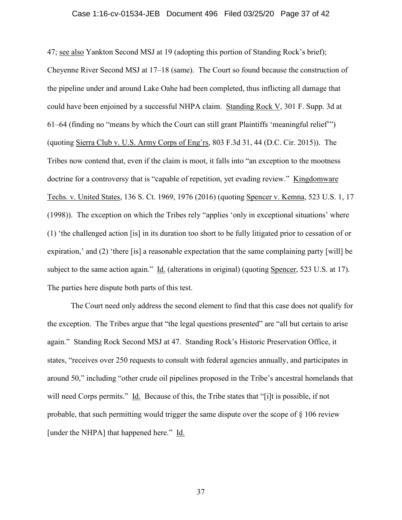#### Case 1:16-cv-01534-JEB Document 496 Filed 03/25/20 Page 37 of 42

47; see also Yankton Second MSJ at 19 (adopting this portion of Standing Rock's brief); Cheyenne River Second MSJ at 17–18 (same). The Court so found because the construction of the pipeline under and around Lake Oahe had been completed, thus inflicting all damage that could have been enjoined by a successful NHPA claim. Standing Rock V, 301 F. Supp. 3d at 61–64 (finding no "means by which the Court can still grant Plaintiffs 'meaningful relief'") (quoting Sierra Club v. U.S. Army Corps of Eng'rs, 803 F.3d 31, 44 (D.C. Cir. 2015)). The Tribes now contend that, even if the claim is moot, it falls into "an exception to the mootness doctrine for a controversy that is "capable of repetition, yet evading review." Kingdomware Techs. v. United States, 136 S. Ct. 1969, 1976 (2016) (quoting Spencer v. Kemna, 523 U.S. 1, 17 (1998)). The exception on which the Tribes rely "applies 'only in exceptional situations' where (1) 'the challenged action [is] in its duration too short to be fully litigated prior to cessation of or expiration,' and (2) 'there [is] a reasonable expectation that the same complaining party [will] be subject to the same action again." Id. (alterations in original) (quoting Spencer, 523 U.S. at 17). The parties here dispute both parts of this test.

The Court need only address the second element to find that this case does not qualify for the exception. The Tribes argue that "the legal questions presented" are "all but certain to arise again." Standing Rock Second MSJ at 47. Standing Rock's Historic Preservation Office, it states, "receives over 250 requests to consult with federal agencies annually, and participates in around 50," including "other crude oil pipelines proposed in the Tribe's ancestral homelands that will need Corps permits." Id. Because of this, the Tribe states that "[i]t is possible, if not probable, that such permitting would trigger the same dispute over the scope of  $\S$  106 review [under the NHPA] that happened here." Id.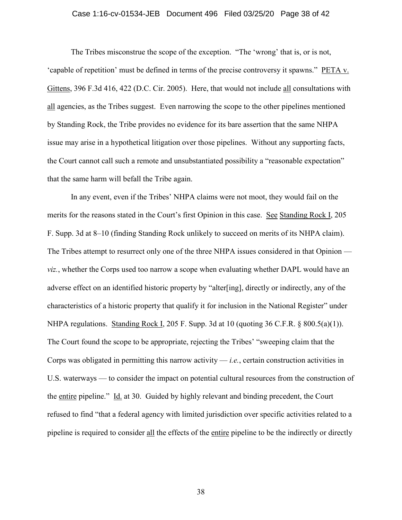### Case 1:16-cv-01534-JEB Document 496 Filed 03/25/20 Page 38 of 42

The Tribes misconstrue the scope of the exception. "The 'wrong' that is, or is not, 'capable of repetition' must be defined in terms of the precise controversy it spawns." PETA v. Gittens, 396 F.3d 416, 422 (D.C. Cir. 2005). Here, that would not include all consultations with all agencies, as the Tribes suggest. Even narrowing the scope to the other pipelines mentioned by Standing Rock, the Tribe provides no evidence for its bare assertion that the same NHPA issue may arise in a hypothetical litigation over those pipelines. Without any supporting facts, the Court cannot call such a remote and unsubstantiated possibility a "reasonable expectation" that the same harm will befall the Tribe again.

In any event, even if the Tribes' NHPA claims were not moot, they would fail on the merits for the reasons stated in the Court's first Opinion in this case. See Standing Rock I, 205 F. Supp. 3d at 8–10 (finding Standing Rock unlikely to succeed on merits of its NHPA claim). The Tribes attempt to resurrect only one of the three NHPA issues considered in that Opinion *viz.*, whether the Corps used too narrow a scope when evaluating whether DAPL would have an adverse effect on an identified historic property by "alter[ing], directly or indirectly, any of the characteristics of a historic property that qualify it for inclusion in the National Register" under NHPA regulations. Standing Rock I, 205 F. Supp. 3d at 10 (quoting 36 C.F.R.  $\&$  800.5(a)(1)). The Court found the scope to be appropriate, rejecting the Tribes' "sweeping claim that the Corps was obligated in permitting this narrow activity — *i.e.*, certain construction activities in U.S. waterways — to consider the impact on potential cultural resources from the construction of the entire pipeline." Id. at 30. Guided by highly relevant and binding precedent, the Court refused to find "that a federal agency with limited jurisdiction over specific activities related to a pipeline is required to consider all the effects of the entire pipeline to be the indirectly or directly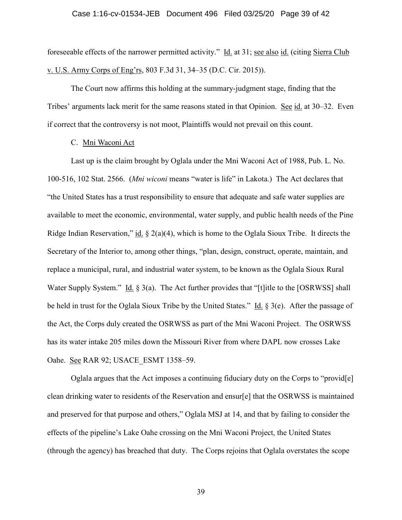#### Case 1:16-cv-01534-JEB Document 496 Filed 03/25/20 Page 39 of 42

foreseeable effects of the narrower permitted activity." Id. at 31; see also id. (citing Sierra Club v. U.S. Army Corps of Eng'rs, 803 F.3d 31, 34–35 (D.C. Cir. 2015)).

The Court now affirms this holding at the summary-judgment stage, finding that the Tribes' arguments lack merit for the same reasons stated in that Opinion. See id. at 30–32. Even if correct that the controversy is not moot, Plaintiffs would not prevail on this count.

# C. Mni Waconi Act

Last up is the claim brought by Oglala under the Mni Waconi Act of 1988, Pub. L. No. 100-516, 102 Stat. 2566. (*Mni wiconi* means "water is life" in Lakota.) The Act declares that "the United States has a trust responsibility to ensure that adequate and safe water supplies are available to meet the economic, environmental, water supply, and public health needs of the Pine Ridge Indian Reservation," id.  $\S 2(a)(4)$ , which is home to the Oglala Sioux Tribe. It directs the Secretary of the Interior to, among other things, "plan, design, construct, operate, maintain, and replace a municipal, rural, and industrial water system, to be known as the Oglala Sioux Rural Water Supply System." Id. § 3(a). The Act further provides that "[t] itle to the [OSRWSS] shall be held in trust for the Oglala Sioux Tribe by the United States." Id. § 3(e). After the passage of the Act, the Corps duly created the OSRWSS as part of the Mni Waconi Project. The OSRWSS has its water intake 205 miles down the Missouri River from where DAPL now crosses Lake Oahe. See RAR 92; USACE ESMT 1358-59.

Oglala argues that the Act imposes a continuing fiduciary duty on the Corps to "provid[e] clean drinking water to residents of the Reservation and ensur[e] that the OSRWSS is maintained and preserved for that purpose and others," Oglala MSJ at 14, and that by failing to consider the effects of the pipeline's Lake Oahe crossing on the Mni Waconi Project, the United States (through the agency) has breached that duty. The Corps rejoins that Oglala overstates the scope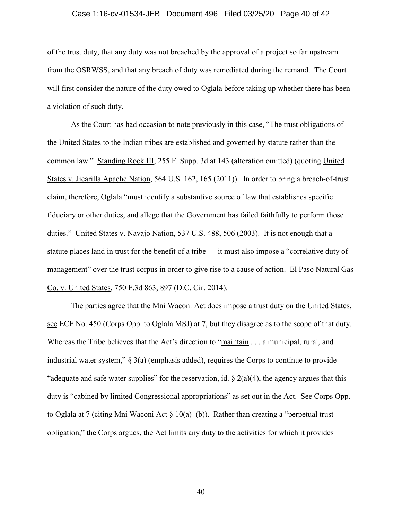#### Case 1:16-cv-01534-JEB Document 496 Filed 03/25/20 Page 40 of 42

of the trust duty, that any duty was not breached by the approval of a project so far upstream from the OSRWSS, and that any breach of duty was remediated during the remand. The Court will first consider the nature of the duty owed to Oglala before taking up whether there has been a violation of such duty.

As the Court has had occasion to note previously in this case, "The trust obligations of the United States to the Indian tribes are established and governed by statute rather than the common law." Standing Rock III, 255 F. Supp. 3d at 143 (alteration omitted) (quoting United States v. Jicarilla Apache Nation, 564 U.S. 162, 165 (2011)). In order to bring a breach-of-trust claim, therefore, Oglala "must identify a substantive source of law that establishes specific fiduciary or other duties, and allege that the Government has failed faithfully to perform those duties." United States v. Navajo Nation, 537 U.S. 488, 506 (2003). It is not enough that a statute places land in trust for the benefit of a tribe — it must also impose a "correlative duty of management" over the trust corpus in order to give rise to a cause of action. El Paso Natural Gas Co. v. United States, 750 F.3d 863, 897 (D.C. Cir. 2014).

The parties agree that the Mni Waconi Act does impose a trust duty on the United States, see ECF No. 450 (Corps Opp. to Oglala MSJ) at 7, but they disagree as to the scope of that duty. Whereas the Tribe believes that the Act's direction to "maintain . . . a municipal, rural, and industrial water system," § 3(a) (emphasis added), requires the Corps to continue to provide "adequate and safe water supplies" for the reservation, id.  $\S$  2(a)(4), the agency argues that this duty is "cabined by limited Congressional appropriations" as set out in the Act. See Corps Opp. to Oglala at 7 (citing Mni Waconi Act § 10(a)–(b)). Rather than creating a "perpetual trust obligation," the Corps argues, the Act limits any duty to the activities for which it provides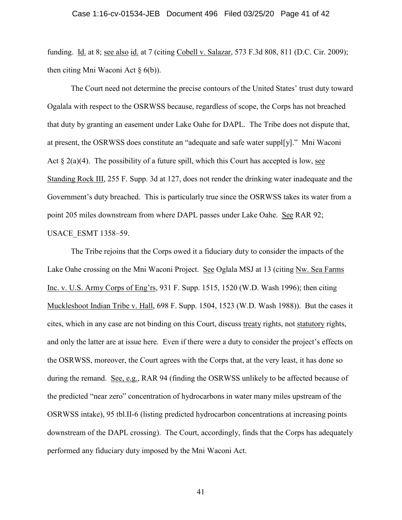#### Case 1:16-cv-01534-JEB Document 496 Filed 03/25/20 Page 41 of 42

funding. Id. at 8; see also id. at 7 (citing Cobell v. Salazar, 573 F.3d 808, 811 (D.C. Cir. 2009); then citing Mni Waconi Act  $\S$  6(b)).

The Court need not determine the precise contours of the United States' trust duty toward Ogalala with respect to the OSRWSS because, regardless of scope, the Corps has not breached that duty by granting an easement under Lake Oahe for DAPL. The Tribe does not dispute that, at present, the OSRWSS does constitute an "adequate and safe water suppl[y]." Mni Waconi Act  $\S 2(a)(4)$ . The possibility of a future spill, which this Court has accepted is low, see Standing Rock III, 255 F. Supp. 3d at 127, does not render the drinking water inadequate and the Government's duty breached. This is particularly true since the OSRWSS takes its water from a point 205 miles downstream from where DAPL passes under Lake Oahe. See RAR 92; USACE\_ESMT 1358–59.

The Tribe rejoins that the Corps owed it a fiduciary duty to consider the impacts of the Lake Oahe crossing on the Mni Waconi Project. See Oglala MSJ at 13 (citing Nw. Sea Farms Inc. v. U.S. Army Corps of Eng'rs, 931 F. Supp. 1515, 1520 (W.D. Wash 1996); then citing Muckleshoot Indian Tribe v. Hall, 698 F. Supp. 1504, 1523 (W.D. Wash 1988)). But the cases it cites, which in any case are not binding on this Court, discuss treaty rights, not statutory rights, and only the latter are at issue here. Even if there were a duty to consider the project's effects on the OSRWSS, moreover, the Court agrees with the Corps that, at the very least, it has done so during the remand. See, e.g., RAR 94 (finding the OSRWSS unlikely to be affected because of the predicted "near zero" concentration of hydrocarbons in water many miles upstream of the OSRWSS intake), 95 tbl.II-6 (listing predicted hydrocarbon concentrations at increasing points downstream of the DAPL crossing). The Court, accordingly, finds that the Corps has adequately performed any fiduciary duty imposed by the Mni Waconi Act.